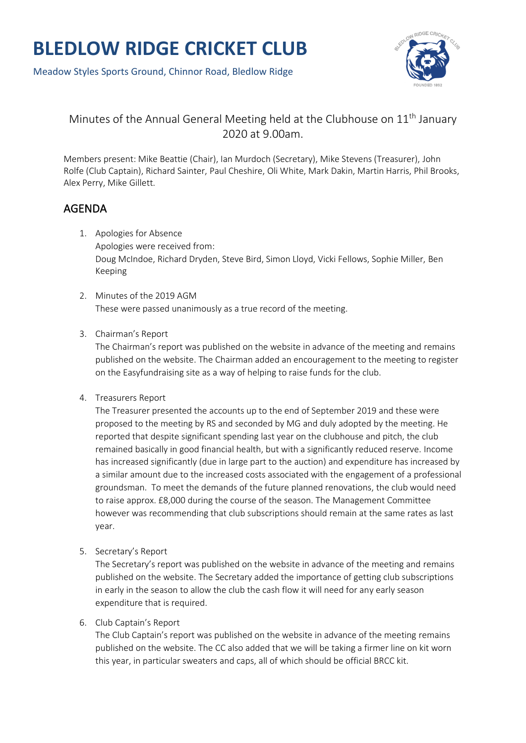



## Minutes of the Annual General Meeting held at the Clubhouse on  $11<sup>th</sup>$  January 2020 at 9.00am.

Members present: Mike Beattie (Chair), Ian Murdoch (Secretary), Mike Stevens (Treasurer), John Rolfe (Club Captain), Richard Sainter, Paul Cheshire, Oli White, Mark Dakin, Martin Harris, Phil Brooks, Alex Perry, Mike Gillett.

## AGENDA

- 1. Apologies for Absence Apologies were received from: Doug McIndoe, Richard Dryden, Steve Bird, Simon Lloyd, Vicki Fellows, Sophie Miller, Ben Keeping
- 2. Minutes of the 2019 AGM These were passed unanimously as a true record of the meeting.
- 3. Chairman's Report

The Chairman's report was published on the website in advance of the meeting and remains published on the website. The Chairman added an encouragement to the meeting to register on the Easyfundraising site as a way of helping to raise funds for the club.

4. Treasurers Report

The Treasurer presented the accounts up to the end of September 2019 and these were proposed to the meeting by RS and seconded by MG and duly adopted by the meeting. He reported that despite significant spending last year on the clubhouse and pitch, the club remained basically in good financial health, but with a significantly reduced reserve. Income has increased significantly (due in large part to the auction) and expenditure has increased by a similar amount due to the increased costs associated with the engagement of a professional groundsman. To meet the demands of the future planned renovations, the club would need to raise approx. £8,000 during the course of the season. The Management Committee however was recommending that club subscriptions should remain at the same rates as last year.

5. Secretary's Report

The Secretary's report was published on the website in advance of the meeting and remains published on the website. The Secretary added the importance of getting club subscriptions in early in the season to allow the club the cash flow it will need for any early season expenditure that is required.

6. Club Captain's Report

The Club Captain's report was published on the website in advance of the meeting remains published on the website. The CC also added that we will be taking a firmer line on kit worn this year, in particular sweaters and caps, all of which should be official BRCC kit.